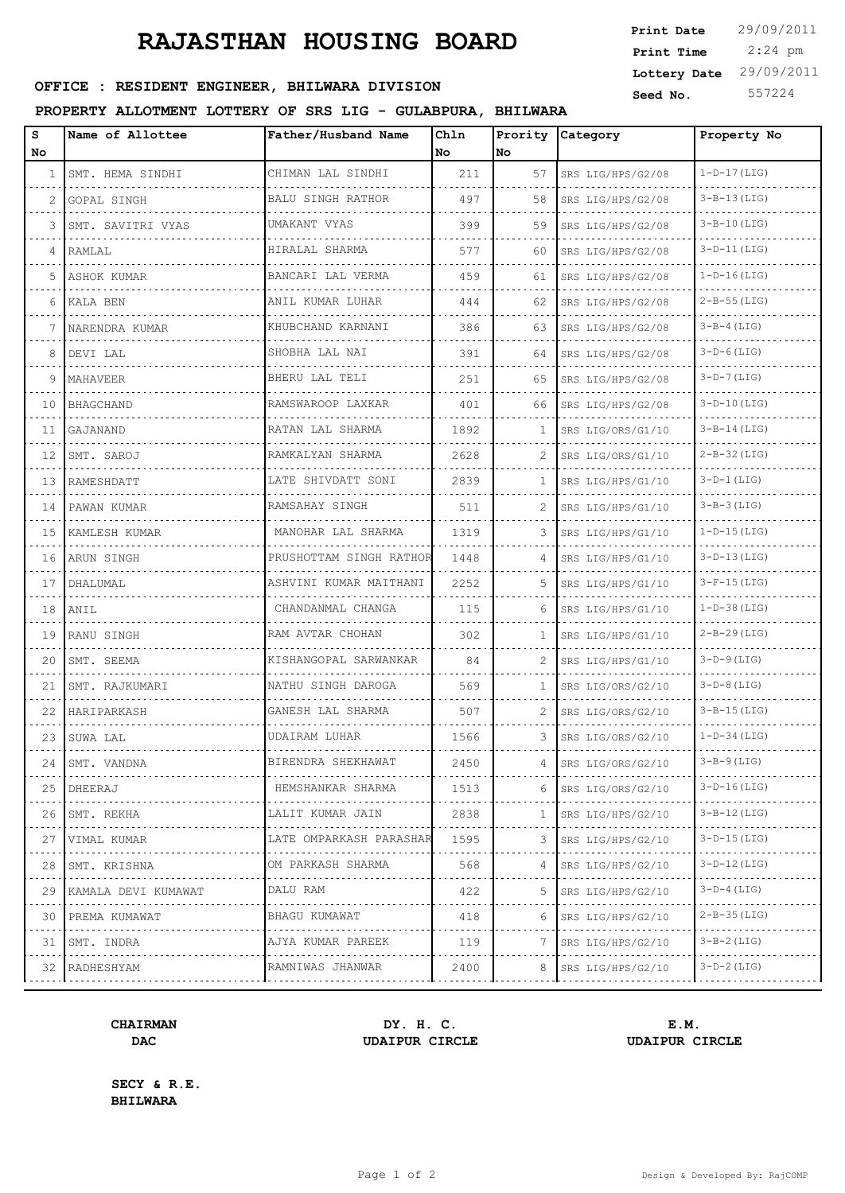### **RAJASTHAN HOUSING BOARD**

| <b>OFFICE:</b><br>RESIDENT ENGINEER, BHILWARA DIVISION | 557224<br>$^1$ No.<br>Seed |
|--------------------------------------------------------|----------------------------|
|--------------------------------------------------------|----------------------------|

### **PROPERTY ALLOTMENT LOTTERY OF SRS LIG - GULABPURA, BHILWARA**

| Print Date   | 29/09/2011 |
|--------------|------------|
| Print Time   | $2:24$ pm  |
| Lottery Date | 29/09/2011 |
| Seed No.     | 557224     |

| s<br>No. | Name of Allottee              | Father/Husband Name      | Chln<br>No | Prority<br>No | Category               | Property No        |
|----------|-------------------------------|--------------------------|------------|---------------|------------------------|--------------------|
| 1        | SMT. HEMA SINDHI              | CHIMAN LAL SINDHI        | 211        | 57            | SRS LIG/HPS/G2/08      | $1-D-17$ (LIG)     |
| 2        | GOPAL SINGH                   | <b>BALU SINGH RATHOR</b> | 497        | 58            | SRS LIG/HPS/G2/08      | $3 - B - 13$ (LIG) |
| 3        | <u>.</u><br>SMT. SAVITRI VYAS | UMAKANT VYAS             | 399        | 59            | SRS LIG/HPS/G2/08      | $3 - B - 10$ (LIG) |
| 4        | RAMLAL                        | HIRALAL SHARMA           | 577        | 60            | SRS LIG/HPS/G2/08      | $3-D-11$ (LIG)     |
| 5        | ASHOK KUMAR                   | BANCARI LAL VERMA        | 459        | 61            | SRS LIG/HPS/G2/08      | $1-D-16(LIG)$      |
| 6        | KALA BEN                      | ANIL KUMAR LUHAR         | 444        | 62            | SRS LIG/HPS/G2/08      | $2 - B - 55$ (LIG) |
| 7        | NARENDRA KUMAR                | KHUBCHAND KARNANI        | 386        | 63            | SRS LIG/HPS/G2/08      | $3-B-4(LIG)$       |
| 8        | DEVI LAL                      | SHOBHA LAL NAI           | 391        | 64            | SRS LIG/HPS/G2/08      | $3-D-6$ (LIG)      |
| 9        | MAHAVEER                      | BHERU LAL TELI           | 251        | 65            | SRS LIG/HPS/G2/08      | $3-D-7$ (LIG)      |
| 10       | BHAGCHAND                     | RAMSWAROOP LAXKAR        | 401        | 66            | SRS LIG/HPS/G2/08      | $3-D-10$ (LIG)     |
| 11       | GAJANAND                      | RATAN LAL SHARMA         | 1892       | $\mathbf{1}$  | SRS LIG/ORS/G1/10      | $3 - B - 14$ (LIG) |
| 12       | SMT. SAROJ                    | RAMKALYAN SHARMA         | 2628       | 2             | SRS LIG/ORS/G1/10      | $2 - B - 32$ (LIG) |
| 13       | RAMESHDATT                    | LATE SHIVDATT SONI       | 2839       | $\mathbf{1}$  | SRS LIG/HPS/G1/10      | $3-D-1(LIG)$       |
| 14       | PAWAN KUMAR                   | RAMSAHAY SINGH           | 511        | 2             | SRS LIG/HPS/G1/10      | $3-B-3$ (LIG)      |
| 15       | KAMLESH KUMAR                 | MANOHAR LAL SHARMA       | 1319       | 3             | SRS LIG/HPS/G1/10      | $1-D-15$ (LIG)     |
| 16       | ARUN SINGH                    | PRUSHOTTAM SINGH RATHOR  | 1448       | 4             | SRS LIG/HPS/G1/10      | $3-D-13$ (LIG)     |
| 17       | DHALUMAL                      | ASHVINI KUMAR MAITHANI   | 2252       | 5.            | SRS LIG/HPS/G1/10      | $3-F-15(LIG)$      |
| 18       | ANIL                          | CHANDANMAL CHANGA        | 115        | 6             | SRS LIG/HPS/G1/10      | $1-D-38$ (LIG)     |
| 19       | RANU SINGH                    | RAM AVTAR CHOHAN         | 302        | $\mathbf{1}$  | SRS LIG/HPS/G1/10      | $2 - B - 29$ (LIG) |
| 20       | SMT. SEEMA                    | KISHANGOPAL SARWANKAR    | 84         |               | SRS LIG/HPS/G1/10      | $3-D-9$ (LIG)      |
| 21       | SMT. RAJKUMARI                | NATHU SINGH DAROGA       | 569        | $\mathbf{1}$  | SRS LIG/ORS/G2/10      | $3-D-8$ (LIG)      |
| 22       | HARIPARKASH                   | GANESH LAL SHARMA        | 507        | 2             | SRS LIG/ORS/G2/10      | $3 - B - 15$ (LIG) |
| 23       | SUWA LAL                      | <b>UDAIRAM LUHAR</b>     | 1566       | 3             | SRS LIG/ORS/G2/10      | $1-D-34$ (LIG)     |
| 24       | ISMT. VANDNA                  | BIRENDRA SHEKHAWAT       | 2450       | 4             | SRS LIG/ORS/G2/10      | 3-B-9 (LIG)        |
| 25<br>.  | DHEERAJ                       | HEMSHANKAR SHARMA        | 1513       | 6             | SRS LIG/ORS/G2/10<br>. | $3-D-16$ (LIG)     |
| 26       | SMT. REKHA                    | LALIT KUMAR JAIN         | 2838       | 1             | SRS LIG/HPS/G2/10      | $3 - B - 12$ (LIG) |
| 27<br>.  | VIMAL KUMAR<br>.              | LATE OMPARKASH PARASHAR  | 1595       | 3             | SRS LIG/HPS/G2/10<br>. | $3-D-15$ (LIG)     |
| 28       | SMT. KRISHNA                  | OM PARKASH SHARMA<br>.   | 568        | 4             | SRS LIG/HPS/G2/10      | $3-D-12$ (LIG)     |
| 29<br>.  | KAMALA DEVI KUMAWAT           | DALU RAM<br>.            | 422        | 5.            | SRS LIG/HPS/G2/10<br>. | $3-D-4$ (LIG)      |
| 30       | PREMA KUMAWAT                 | BHAGU KUMAWAT            | 418        | 6             | SRS LIG/HPS/G2/10      | $2 - B - 35$ (LIG) |
| 31       | SMT. INDRA<br>.               | AJYA KUMAR PAREEK<br>.   | 119        |               | SRS LIG/HPS/G2/10      | $3 - B - 2$ (LIG)  |
|          | 32 RADHESHYAM                 | RAMNIWAS JHANWAR         | 2400       | 8             | SRS LIG/HPS/G2/10      | $3-D-2$ (LIG)      |
|          |                               |                          |            |               |                        |                    |

# **CHAIRMAN DY. H. C. E.M.**

**DAC UDAIPUR CIRCLE UDAIPUR CIRCLE**

**SECY & R.E. BHILWARA**